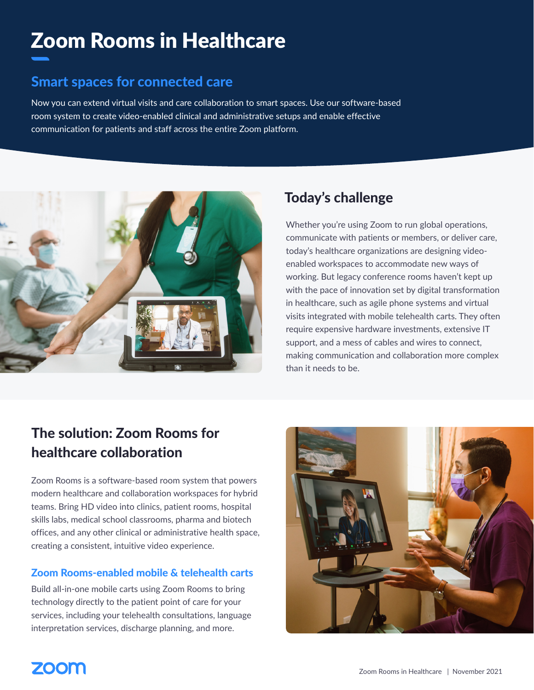# Zoom Rooms in Healthcare

### Smart spaces for connected care

Now you can extend virtual visits and care collaboration to smart spaces. Use our software-based room system to create video-enabled clinical and administrative setups and enable effective communication for patients and staff across the entire Zoom platform.



### Today's challenge

Whether you're using Zoom to run global operations, communicate with patients or members, or deliver care, today's healthcare organizations are designing videoenabled workspaces to accommodate new ways of working. But legacy conference rooms haven't kept up with the pace of innovation set by digital transformation in healthcare, such as agile phone systems and virtual visits integrated with mobile telehealth carts. They often require expensive hardware investments, extensive IT support, and a mess of cables and wires to connect, making communication and collaboration more complex than it needs to be.

### The solution: Zoom Rooms for healthcare collaboration

Zoom Rooms is a software-based room system that powers modern healthcare and collaboration workspaces for hybrid teams. Bring HD video into clinics, patient rooms, hospital skills labs, medical school classrooms, pharma and biotech offices, and any other clinical or administrative health space, creating a consistent, intuitive video experience.

### Zoom Rooms-enabled mobile & telehealth carts

Build all-in-one mobile carts using Zoom Rooms to bring technology directly to the patient point of care for your services, including your telehealth consultations, language interpretation services, discharge planning, and more.



## **ZOOM**